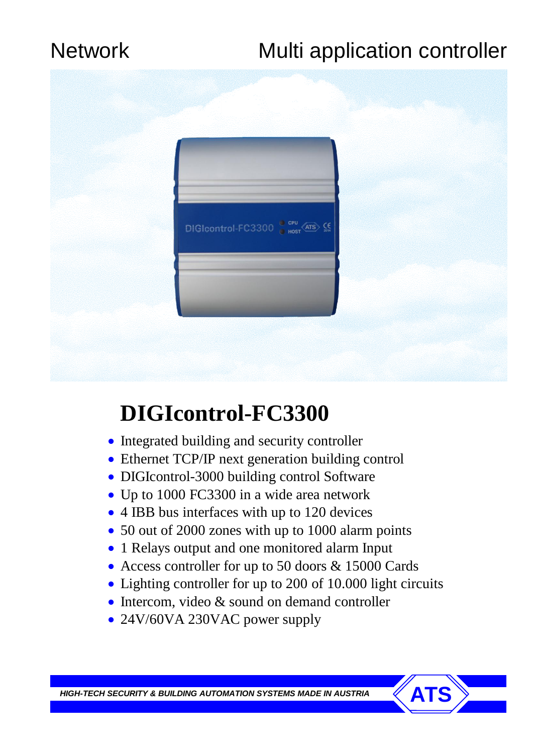# Network Multi application controller



# **DIGIcontrol-FC3300**

- Integrated building and security controller
- Ethernet TCP/IP next generation building control
- DIGIcontrol-3000 building control Software
- Up to 1000 FC3300 in a wide area network
- 4 IBB bus interfaces with up to 120 devices
- 50 out of 2000 zones with up to 1000 alarm points
- 1 Relays output and one monitored alarm Input
- Access controller for up to 50 doors & 15000 Cards
- Lighting controller for up to 200 of 10.000 light circuits
- Intercom, video & sound on demand controller
- 24V/60VA 230VAC power supply

**HIGH-TECH SECURITY & BUILDING AUTOMATION SYSTEMS MADE IN AUSTRIA**